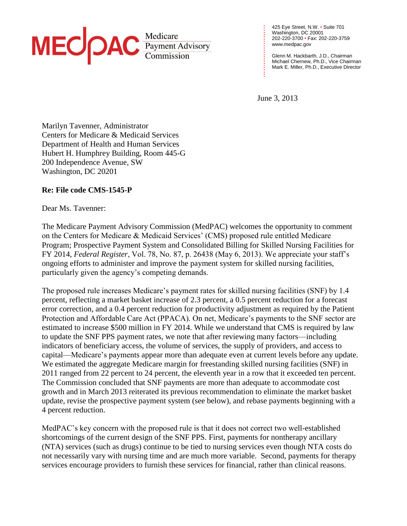

425 Eye Street, N.W. • Suite 701 Washington, DC 20001 202-220-3700 • Fax: 202-220-3759 [www.medpac.gov](http://www.medpac.gov/)

Glenn M. Hackbarth, J.D., Chairman Michael Chernew, Ph.D., Vice Chairman Mark E. Miller, Ph.D., Executive Director

June 3, 2013 **. . . . . .**

**. . . . . . . . . . . . . . . . . . . . . . . . . .**

Marilyn Tavenner, Administrator Centers for Medicare & Medicaid Services Department of Health and Human Services Hubert H. Humphrey Building, Room 445-G 200 Independence Avenue, SW Washington, DC 20201

## **Re: File code CMS-1545-P**

Dear Ms. Tavenner:

The Medicare Payment Advisory Commission (MedPAC) welcomes the opportunity to comment on the Centers for Medicare & Medicaid Services' (CMS) proposed rule entitled Medicare Program; Prospective Payment System and Consolidated Billing for Skilled Nursing Facilities for FY 2014, *Federal Register*, Vol. 78, No. 87, p. 26438 (May 6, 2013). We appreciate your staff's ongoing efforts to administer and improve the payment system for skilled nursing facilities, particularly given the agency's competing demands.

The proposed rule increases Medicare's payment rates for skilled nursing facilities (SNF) by 1.4 percent, reflecting a market basket increase of 2.3 percent, a 0.5 percent reduction for a forecast error correction, and a 0.4 percent reduction for productivity adjustment as required by the Patient Protection and Affordable Care Act (PPACA). On net, Medicare's payments to the SNF sector are estimated to increase \$500 million in FY 2014. While we understand that CMS is required by law to update the SNF PPS payment rates, we note that after reviewing many factors—including indicators of beneficiary access, the volume of services, the supply of providers, and access to capital—Medicare's payments appear more than adequate even at current levels before any update. We estimated the aggregate Medicare margin for freestanding skilled nursing facilities (SNF) in 2011 ranged from 22 percent to 24 percent, the eleventh year in a row that it exceeded ten percent. The Commission concluded that SNF payments are more than adequate to accommodate cost growth and in March 2013 reiterated its previous recommendation to eliminate the market basket update, revise the prospective payment system (see below), and rebase payments beginning with a 4 percent reduction.

MedPAC's key concern with the proposed rule is that it does not correct two well-established shortcomings of the current design of the SNF PPS. First, payments for nontherapy ancillary (NTA) services (such as drugs) continue to be tied to nursing services even though NTA costs do not necessarily vary with nursing time and are much more variable. Second, payments for therapy services encourage providers to furnish these services for financial, rather than clinical reasons.